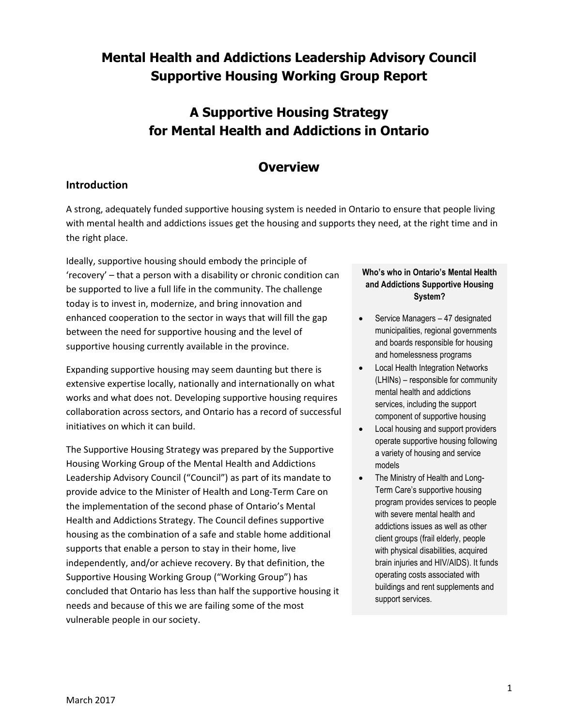## **Mental Health and Addictions Leadership Advisory Council Supportive Housing Working Group Report**

## **A Supportive Housing Strategy for Mental Health and Addictions in Ontario**

### **Overview**

#### **Introduction**

A strong, adequately funded supportive housing system is needed in Ontario to ensure that people living with mental health and addictions issues get the housing and supports they need, at the right time and in the right place.

Ideally, supportive housing should embody the principle of 'recovery' – that a person with a disability or chronic condition can be supported to live a full life in the community. The challenge today is to invest in, modernize, and bring innovation and enhanced cooperation to the sector in ways that will fill the gap between the need for supportive housing and the level of supportive housing currently available in the province.

Expanding supportive housing may seem daunting but there is extensive expertise locally, nationally and internationally on what works and what does not. Developing supportive housing requires collaboration across sectors, and Ontario has a record of successful initiatives on which it can build.

The Supportive Housing Strategy was prepared by the Supportive Housing Working Group of the Mental Health and Addictions Leadership Advisory Council ("Council") as part of its mandate to provide advice to the Minister of Health and Long-Term Care on the implementation of the second phase of Ontario's Mental Health and Addictions Strategy. The Council defines supportive housing as the combination of a safe and stable home additional supports that enable a person to stay in their home, live independently, and/or achieve recovery. By that definition, the Supportive Housing Working Group ("Working Group") has concluded that Ontario has less than half the supportive housing it needs and because of this we are failing some of the most vulnerable people in our society.

#### **Who's who in Ontario's Mental Health and Addictions Supportive Housing System?**

- Service Managers 47 designated municipalities, regional governments and boards responsible for housing and homelessness programs
- Local Health Integration Networks (LHINs) – responsible for community mental health and addictions services, including the support component of supportive housing
- Local housing and support providers operate supportive housing following a variety of housing and service models
- The Ministry of Health and Long-Term Care's supportive housing program provides services to people with severe mental health and addictions issues as well as other client groups (frail elderly, people with physical disabilities, acquired brain injuries and HIV/AIDS). It funds operating costs associated with buildings and rent supplements and support services.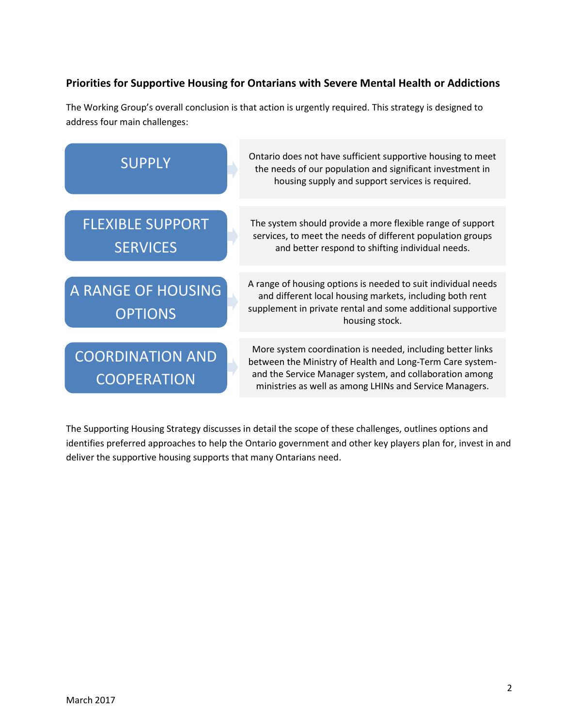### **Priorities for Supportive Housing for Ontarians with Severe Mental Health or Addictions**

The Working Group's overall conclusion is that action is urgently required. This strategy is designed to address four main challenges:



The Supporting Housing Strategy discusses in detail the scope of these challenges, outlines options and identifies preferred approaches to help the Ontario government and other key players plan for, invest in and deliver the supportive housing supports that many Ontarians need.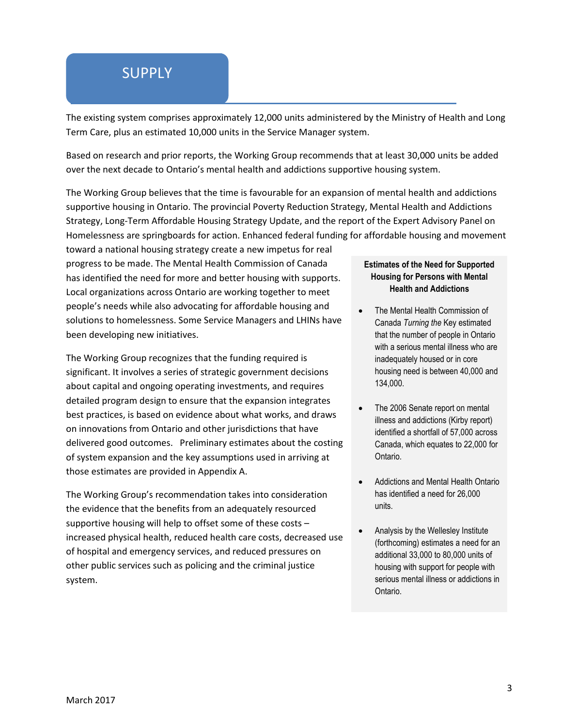## **SUPPLY**

The existing system comprises approximately 12,000 units administered by the Ministry of Health and Long Term Care, plus an estimated 10,000 units in the Service Manager system.

Based on research and prior reports, the Working Group recommends that at least 30,000 units be added over the next decade to Ontario's mental health and addictions supportive housing system.

The Working Group believes that the time is favourable for an expansion of mental health and addictions supportive housing in Ontario. The provincial Poverty Reduction Strategy, Mental Health and Addictions Strategy, Long-Term Affordable Housing Strategy Update, and the report of the Expert Advisory Panel on Homelessness are springboards for action. Enhanced federal funding for affordable housing and movement

toward a national housing strategy create a new impetus for real progress to be made. The Mental Health Commission of Canada has identified the need for more and better housing with supports. Local organizations across Ontario are working together to meet people's needs while also advocating for affordable housing and solutions to homelessness. Some Service Managers and LHINs have been developing new initiatives.

The Working Group recognizes that the funding required is significant. It involves a series of strategic government decisions about capital and ongoing operating investments, and requires detailed program design to ensure that the expansion integrates best practices, is based on evidence about what works, and draws on innovations from Ontario and other jurisdictions that have delivered good outcomes. Preliminary estimates about the costing of system expansion and the key assumptions used in arriving at those estimates are provided in Appendix A.

The Working Group's recommendation takes into consideration the evidence that the benefits from an adequately resourced supportive housing will help to offset some of these costs – increased physical health, reduced health care costs, decreased use of hospital and emergency services, and reduced pressures on other public services such as policing and the criminal justice system.

#### **Estimates of the Need for Supported Housing for Persons with Mental Health and Addictions**

- The Mental Health Commission of Canada *Turning the* Key estimated that the number of people in Ontario with a serious mental illness who are inadequately housed or in core housing need is between 40,000 and 134,000.
- The 2006 Senate report on mental illness and addictions (Kirby report) identified a shortfall of 57,000 across Canada, which equates to 22,000 for Ontario.
- Addictions and Mental Health Ontario has identified a need for 26,000 units.
- Analysis by the Wellesley Institute (forthcoming) estimates a need for an additional 33,000 to 80,000 units of housing with support for people with serious mental illness or addictions in Ontario.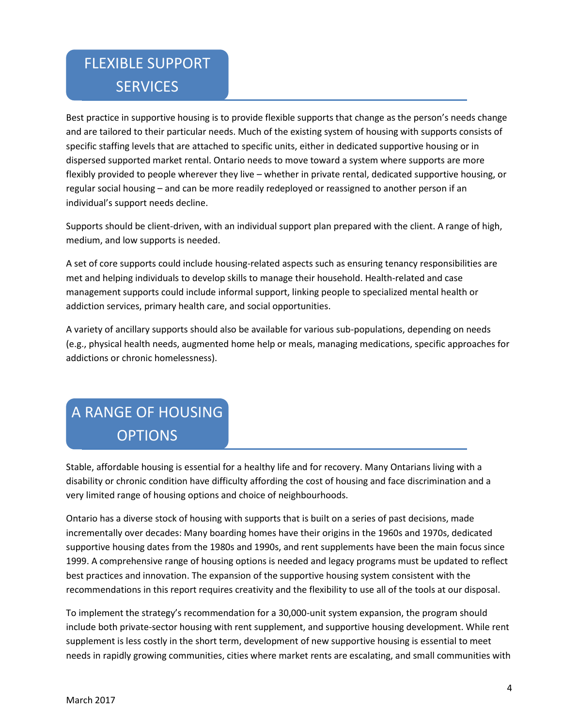# FLEXIBLE SUPPORT **SERVICES**

Best practice in supportive housing is to provide flexible supports that change as the person's needs change and are tailored to their particular needs. Much of the existing system of housing with supports consists of specific staffing levels that are attached to specific units, either in dedicated supportive housing or in dispersed supported market rental. Ontario needs to move toward a system where supports are more flexibly provided to people wherever they live – whether in private rental, dedicated supportive housing, or regular social housing – and can be more readily redeployed or reassigned to another person if an individual's support needs decline.

Supports should be client-driven, with an individual support plan prepared with the client. A range of high, medium, and low supports is needed.

A set of core supports could include housing-related aspects such as ensuring tenancy responsibilities are met and helping individuals to develop skills to manage their household. Health-related and case management supports could include informal support, linking people to specialized mental health or addiction services, primary health care, and social opportunities.

A variety of ancillary supports should also be available for various sub-populations, depending on needs (e.g., physical health needs, augmented home help or meals, managing medications, specific approaches for addictions or chronic homelessness).

# A RANGE OF HOUSING **OPTIONS**

Stable, affordable housing is essential for a healthy life and for recovery. Many Ontarians living with a disability or chronic condition have difficulty affording the cost of housing and face discrimination and a very limited range of housing options and choice of neighbourhoods.

Ontario has a diverse stock of housing with supports that is built on a series of past decisions, made incrementally over decades: Many boarding homes have their origins in the 1960s and 1970s, dedicated supportive housing dates from the 1980s and 1990s, and rent supplements have been the main focus since 1999. A comprehensive range of housing options is needed and legacy programs must be updated to reflect best practices and innovation. The expansion of the supportive housing system consistent with the recommendations in this report requires creativity and the flexibility to use all of the tools at our disposal.

To implement the strategy's recommendation for a 30,000-unit system expansion, the program should include both private-sector housing with rent supplement, and supportive housing development. While rent supplement is less costly in the short term, development of new supportive housing is essential to meet needs in rapidly growing communities, cities where market rents are escalating, and small communities with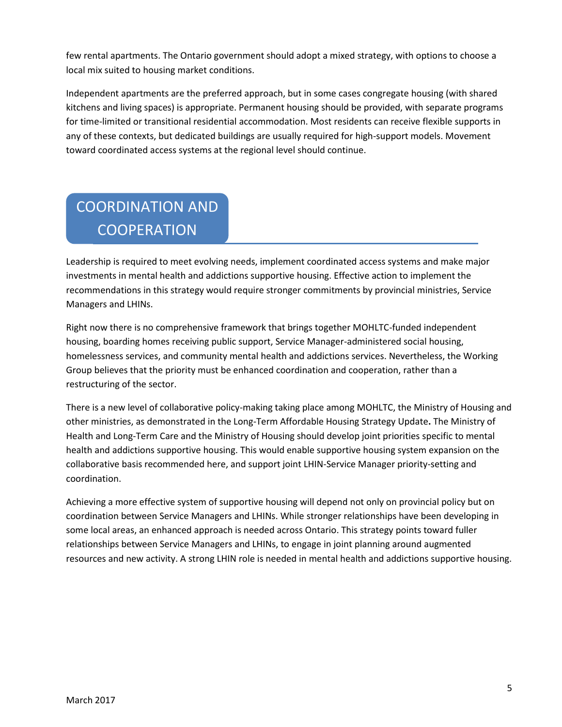few rental apartments. The Ontario government should adopt a mixed strategy, with options to choose a local mix suited to housing market conditions.

Independent apartments are the preferred approach, but in some cases congregate housing (with shared kitchens and living spaces) is appropriate. Permanent housing should be provided, with separate programs for time-limited or transitional residential accommodation. Most residents can receive flexible supports in any of these contexts, but dedicated buildings are usually required for high-support models. Movement toward coordinated access systems at the regional level should continue.

# COORDINATION AND **COOPERATION**

Leadership is required to meet evolving needs, implement coordinated access systems and make major investments in mental health and addictions supportive housing. Effective action to implement the recommendations in this strategy would require stronger commitments by provincial ministries, Service Managers and LHINs.

Right now there is no comprehensive framework that brings together MOHLTC-funded independent housing, boarding homes receiving public support, Service Manager-administered social housing, homelessness services, and community mental health and addictions services. Nevertheless, the Working Group believes that the priority must be enhanced coordination and cooperation, rather than a restructuring of the sector.

There is a new level of collaborative policy-making taking place among MOHLTC, the Ministry of Housing and other ministries, as demonstrated in the Long-Term Affordable Housing Strategy Update**.** The Ministry of Health and Long-Term Care and the Ministry of Housing should develop joint priorities specific to mental health and addictions supportive housing. This would enable supportive housing system expansion on the collaborative basis recommended here, and support joint LHIN-Service Manager priority-setting and coordination.

Achieving a more effective system of supportive housing will depend not only on provincial policy but on coordination between Service Managers and LHINs. While stronger relationships have been developing in some local areas, an enhanced approach is needed across Ontario. This strategy points toward fuller relationships between Service Managers and LHINs, to engage in joint planning around augmented resources and new activity. A strong LHIN role is needed in mental health and addictions supportive housing.